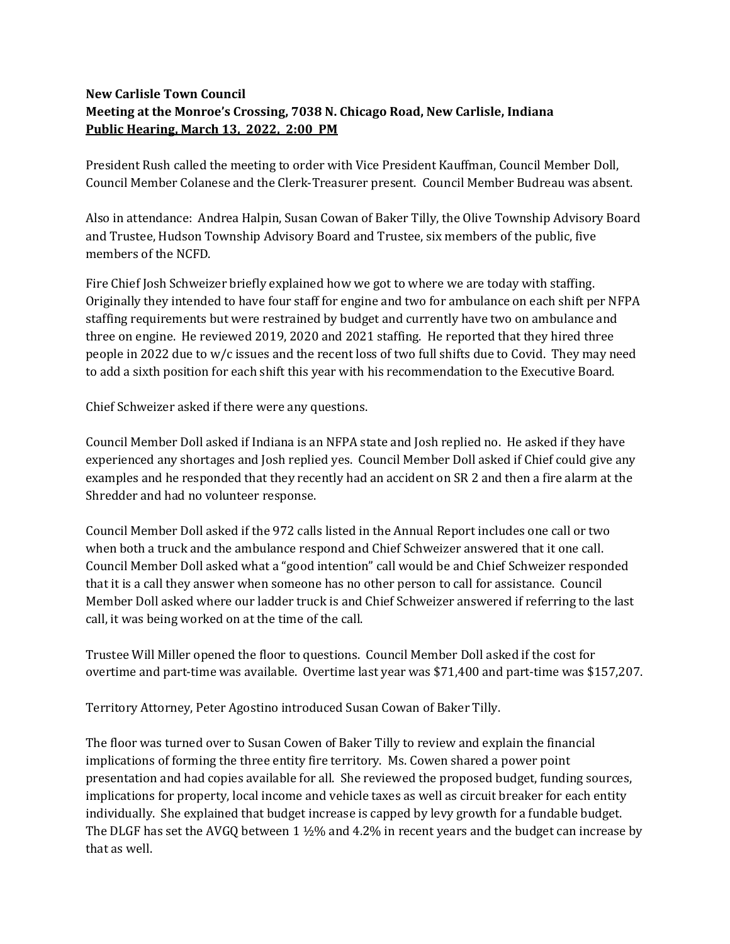## New Carlisle Town Council Meeting at the Monroe's Crossing, 7038 N. Chicago Road, New Carlisle, Indiana Public Hearing, March 13, 2022, 2:00 PM

President Rush called the meeting to order with Vice President Kauffman, Council Member Doll, Council Member Colanese and the Clerk-Treasurer present. Council Member Budreau was absent.

Also in attendance: Andrea Halpin, Susan Cowan of Baker Tilly, the Olive Township Advisory Board and Trustee, Hudson Township Advisory Board and Trustee, six members of the public, five members of the NCFD.

Fire Chief Josh Schweizer briefly explained how we got to where we are today with staffing. Originally they intended to have four staff for engine and two for ambulance on each shift per NFPA staffing requirements but were restrained by budget and currently have two on ambulance and three on engine. He reviewed 2019, 2020 and 2021 staffing. He reported that they hired three people in 2022 due to w/c issues and the recent loss of two full shifts due to Covid. They may need to add a sixth position for each shift this year with his recommendation to the Executive Board.

Chief Schweizer asked if there were any questions.

Council Member Doll asked if Indiana is an NFPA state and Josh replied no. He asked if they have experienced any shortages and Josh replied yes. Council Member Doll asked if Chief could give any examples and he responded that they recently had an accident on SR 2 and then a fire alarm at the Shredder and had no volunteer response.

Council Member Doll asked if the 972 calls listed in the Annual Report includes one call or two when both a truck and the ambulance respond and Chief Schweizer answered that it one call. Council Member Doll asked what a "good intention" call would be and Chief Schweizer responded that it is a call they answer when someone has no other person to call for assistance. Council Member Doll asked where our ladder truck is and Chief Schweizer answered if referring to the last call, it was being worked on at the time of the call.

Trustee Will Miller opened the floor to questions. Council Member Doll asked if the cost for overtime and part-time was available. Overtime last year was \$71,400 and part-time was \$157,207.

Territory Attorney, Peter Agostino introduced Susan Cowan of Baker Tilly.

The floor was turned over to Susan Cowen of Baker Tilly to review and explain the financial implications of forming the three entity fire territory. Ms. Cowen shared a power point presentation and had copies available for all. She reviewed the proposed budget, funding sources, implications for property, local income and vehicle taxes as well as circuit breaker for each entity individually. She explained that budget increase is capped by levy growth for a fundable budget. The DLGF has set the AVGQ between 1 ½% and 4.2% in recent years and the budget can increase by that as well.